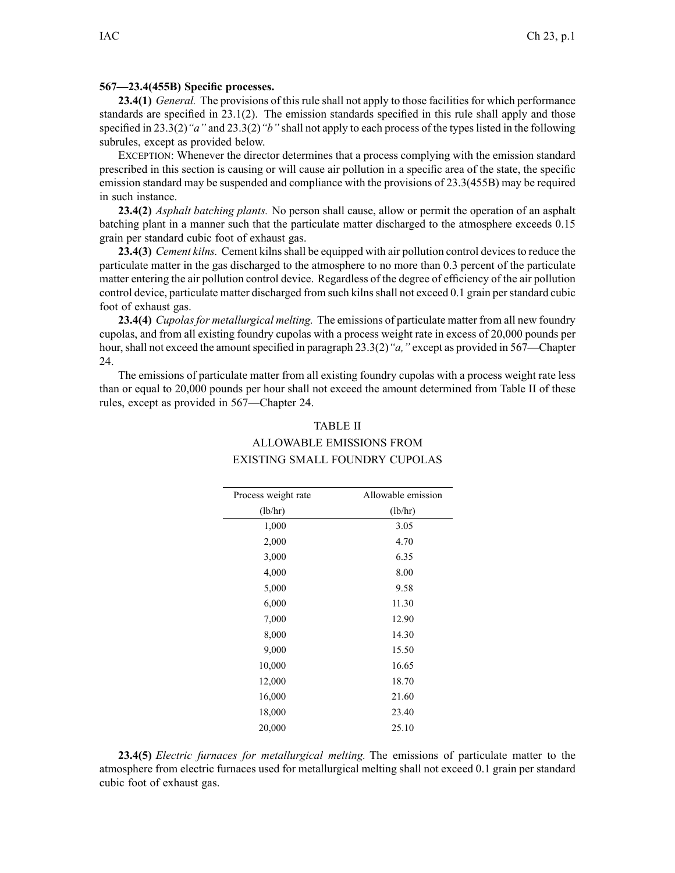## **567—23.4(455B) Specific processes.**

**23.4(1)** *General.* The provisions of this rule shall not apply to those facilities for which performance standards are specified in 23.1(2). The emission standards specified in this rule shall apply and those specified in 23.3(2)*"a"* and 23.3(2)*"b"* shall not apply to each process of the typeslisted in the following subrules, excep<sup>t</sup> as provided below.

EXCEPTION: Whenever the director determines that <sup>a</sup> process complying with the emission standard prescribed in this section is causing or will cause air pollution in <sup>a</sup> specific area of the state, the specific emission standard may be suspended and compliance with the provisions of 23.3(455B) may be required in such instance.

**23.4(2)** *Asphalt batching plants.* No person shall cause, allow or permit the operation of an asphalt batching plant in <sup>a</sup> manner such that the particulate matter discharged to the atmosphere exceeds 0.15 grain per standard cubic foot of exhaust gas.

**23.4(3)** *Cement kilns.* Cement kilns shall be equipped with air pollution control devices to reduce the particulate matter in the gas discharged to the atmosphere to no more than 0.3 percen<sup>t</sup> of the particulate matter entering the air pollution control device. Regardless of the degree of efficiency of the air pollution control device, particulate matter discharged from such kilnsshall not exceed 0.1 grain perstandard cubic foot of exhaust gas.

**23.4(4)** *Cupolasfor metallurgical melting.* The emissions of particulate matter from all new foundry cupolas, and from all existing foundry cupolas with <sup>a</sup> process weight rate in excess of 20,000 pounds per hour, shall not exceed the amount specified in paragraph 23.3(2) "*a*," except as provided in 567—Chapter 24.

The emissions of particulate matter from all existing foundry cupolas with <sup>a</sup> process weight rate less than or equal to 20,000 pounds per hour shall not exceed the amount determined from Table II of these rules, excep<sup>t</sup> as provided in 567—Chapter 24.

## TABLE II ALLOWABLE EMISSIONS FROM EXISTING SMALL FOUNDRY CUPOLAS

| Process weight rate | Allowable emission |
|---------------------|--------------------|
| (lb/hr)             | (lb/hr)            |
| 1,000               | 3.05               |
| 2,000               | 4.70               |
| 3,000               | 6.35               |
| 4,000               | 8.00               |
| 5,000               | 9.58               |
| 6,000               | 11.30              |
| 7,000               | 12.90              |
| 8,000               | 14.30              |
| 9,000               | 15.50              |
| 10,000              | 16.65              |
| 12,000              | 18.70              |
| 16,000              | 21.60              |
| 18,000              | 23.40              |
| 20,000              | 25.10              |

**23.4(5)** *Electric furnaces for metallurgical melting.* The emissions of particulate matter to the atmosphere from electric furnaces used for metallurgical melting shall not exceed 0.1 grain per standard cubic foot of exhaust gas.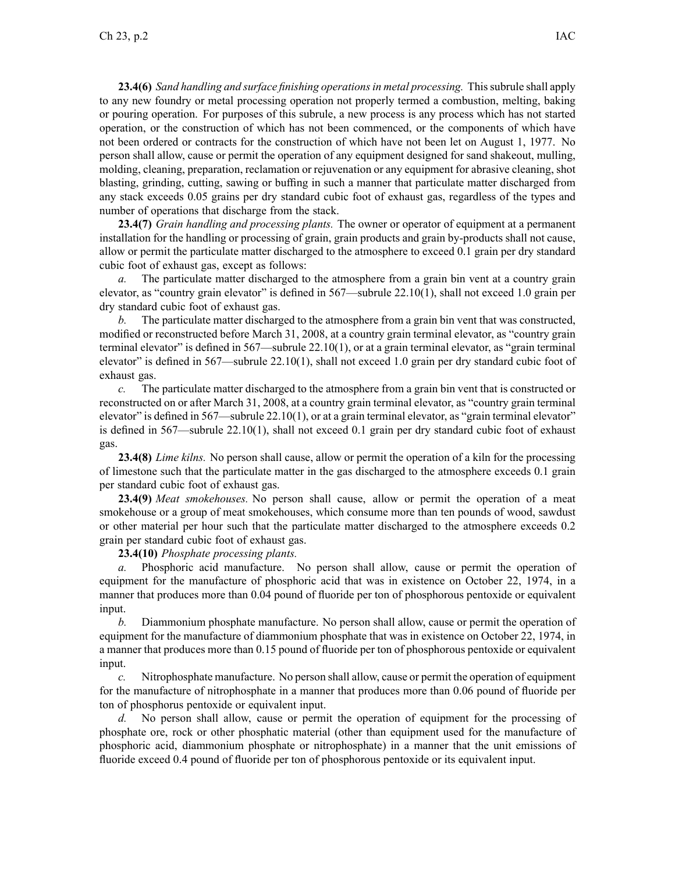**23.4(6)** *Sand handling and surface finishing operationsin metal processing.* Thissubrule shall apply to any new foundry or metal processing operation not properly termed <sup>a</sup> combustion, melting, baking or pouring operation. For purposes of this subrule, <sup>a</sup> new process is any process which has not started operation, or the construction of which has not been commenced, or the components of which have not been ordered or contracts for the construction of which have not been let on August 1, 1977. No person shall allow, cause or permit the operation of any equipment designed for sand shakeout, mulling, molding, cleaning, preparation, reclamation or rejuvenation or any equipment for abrasive cleaning, shot blasting, grinding, cutting, sawing or buffing in such <sup>a</sup> manner that particulate matter discharged from any stack exceeds 0.05 grains per dry standard cubic foot of exhaust gas, regardless of the types and number of operations that discharge from the stack.

**23.4(7)** *Grain handling and processing plants.* The owner or operator of equipment at <sup>a</sup> permanen<sup>t</sup> installation for the handling or processing of grain, grain products and grain by-products shall not cause, allow or permit the particulate matter discharged to the atmosphere to exceed 0.1 grain per dry standard cubic foot of exhaust gas, excep<sup>t</sup> as follows:

*a.* The particulate matter discharged to the atmosphere from <sup>a</sup> grain bin vent at <sup>a</sup> country grain elevator, as "country grain elevator" is defined in 567—subrule 22.10(1), shall not exceed 1.0 grain per dry standard cubic foot of exhaust gas.

*b.* The particulate matter discharged to the atmosphere from <sup>a</sup> grain bin vent that was constructed, modified or reconstructed before March 31, 2008, at <sup>a</sup> country grain terminal elevator, as "country grain terminal elevator" is defined in 567—subrule 22.10(1), or at <sup>a</sup> grain terminal elevator, as "grain terminal elevator" is defined in 567—subrule 22.10(1), shall not exceed 1.0 grain per dry standard cubic foot of exhaust gas.

*c.* The particulate matter discharged to the atmosphere from <sup>a</sup> grain bin vent that is constructed or reconstructed on or after March 31, 2008, at <sup>a</sup> country grain terminal elevator, as "country grain terminal elevator" is defined in 567—subrule 22.10(1), or at a grain terminal elevator, as "grain terminal elevator" is defined in 567—subrule 22.10(1), shall not exceed 0.1 grain per dry standard cubic foot of exhaust gas.

**23.4(8)** *Lime kilns.* No person shall cause, allow or permit the operation of <sup>a</sup> kiln for the processing of limestone such that the particulate matter in the gas discharged to the atmosphere exceeds 0.1 grain per standard cubic foot of exhaust gas.

**23.4(9)** *Meat smokehouses.* No person shall cause, allow or permit the operation of <sup>a</sup> meat smokehouse or <sup>a</sup> group of meat smokehouses, which consume more than ten pounds of wood, sawdust or other material per hour such that the particulate matter discharged to the atmosphere exceeds 0.2 grain per standard cubic foot of exhaust gas.

## **23.4(10)** *Phosphate processing plants.*

*a.* Phosphoric acid manufacture. No person shall allow, cause or permit the operation of equipment for the manufacture of phosphoric acid that was in existence on October 22, 1974, in <sup>a</sup> manner that produces more than 0.04 pound of fluoride per ton of phosphorous pentoxide or equivalent input.

*b.* Diammonium phosphate manufacture. No person shall allow, cause or permit the operation of equipment for the manufacture of diammonium phosphate that was in existence on October 22, 1974, in <sup>a</sup> manner that produces more than 0.15 pound of fluoride per ton of phosphorous pentoxide or equivalent input.

*c.* Nitrophosphate manufacture. No person shall allow, cause or permit the operation of equipment for the manufacture of nitrophosphate in <sup>a</sup> manner that produces more than 0.06 pound of fluoride per ton of phosphorus pentoxide or equivalent input.

*d.* No person shall allow, cause or permit the operation of equipment for the processing of phosphate ore, rock or other phosphatic material (other than equipment used for the manufacture of phosphoric acid, diammonium phosphate or nitrophosphate) in <sup>a</sup> manner that the unit emissions of fluoride exceed 0.4 pound of fluoride per ton of phosphorous pentoxide or its equivalent input.